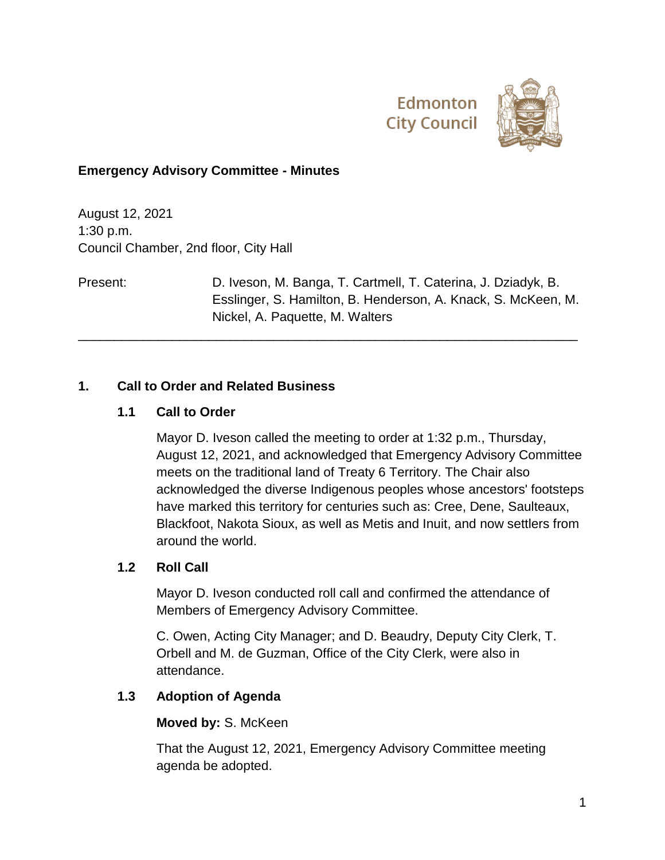



### **Emergency Advisory Committee - Minutes**

August 12, 2021 1:30 p.m. Council Chamber, 2nd floor, City Hall

Present: D. Iveson, M. Banga, T. Cartmell, T. Caterina, J. Dziadyk, B. Esslinger, S. Hamilton, B. Henderson, A. Knack, S. McKeen, M. Nickel, A. Paquette, M. Walters

\_\_\_\_\_\_\_\_\_\_\_\_\_\_\_\_\_\_\_\_\_\_\_\_\_\_\_\_\_\_\_\_\_\_\_\_\_\_\_\_\_\_\_\_\_\_\_\_\_\_\_\_\_\_\_\_\_\_\_\_\_\_\_\_\_\_\_\_\_

### **1. Call to Order and Related Business**

### **1.1 Call to Order**

Mayor D. Iveson called the meeting to order at 1:32 p.m., Thursday, August 12, 2021, and acknowledged that Emergency Advisory Committee meets on the traditional land of Treaty 6 Territory. The Chair also acknowledged the diverse Indigenous peoples whose ancestors' footsteps have marked this territory for centuries such as: Cree, Dene, Saulteaux, Blackfoot, Nakota Sioux, as well as Metis and Inuit, and now settlers from around the world.

#### **1.2 Roll Call**

Mayor D. Iveson conducted roll call and confirmed the attendance of Members of Emergency Advisory Committee.

C. Owen, Acting City Manager; and D. Beaudry, Deputy City Clerk, T. Orbell and M. de Guzman, Office of the City Clerk, were also in attendance.

#### **1.3 Adoption of Agenda**

#### **Moved by:** S. McKeen

That the August 12, 2021, Emergency Advisory Committee meeting agenda be adopted.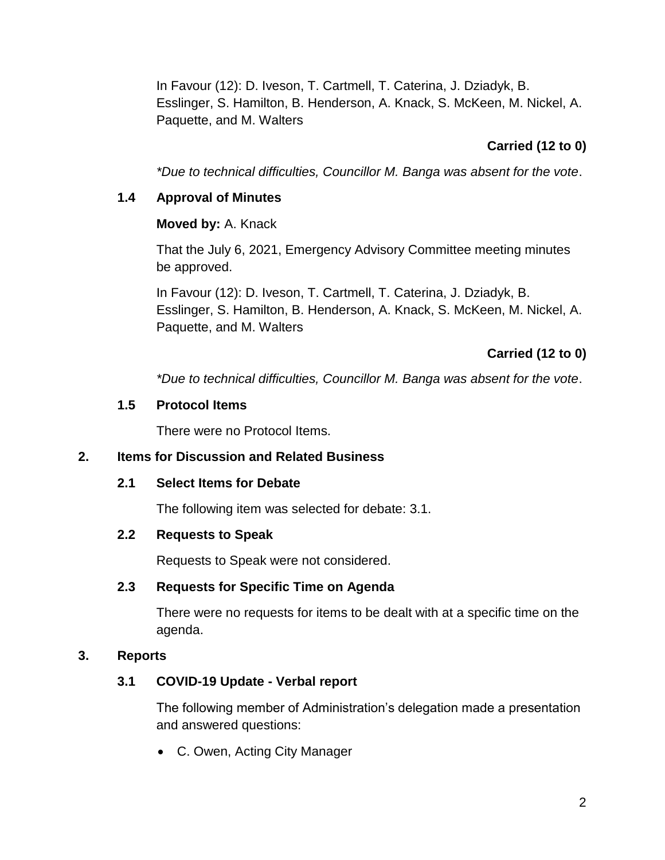In Favour (12): D. Iveson, T. Cartmell, T. Caterina, J. Dziadyk, B. Esslinger, S. Hamilton, B. Henderson, A. Knack, S. McKeen, M. Nickel, A. Paquette, and M. Walters

# **Carried (12 to 0)**

*\*Due to technical difficulties, Councillor M. Banga was absent for the vote*.

## **1.4 Approval of Minutes**

## **Moved by:** A. Knack

That the July 6, 2021, Emergency Advisory Committee meeting minutes be approved.

In Favour (12): D. Iveson, T. Cartmell, T. Caterina, J. Dziadyk, B. Esslinger, S. Hamilton, B. Henderson, A. Knack, S. McKeen, M. Nickel, A. Paquette, and M. Walters

# **Carried (12 to 0)**

*\*Due to technical difficulties, Councillor M. Banga was absent for the vote*.

## **1.5 Protocol Items**

There were no Protocol Items.

## **2. Items for Discussion and Related Business**

## **2.1 Select Items for Debate**

The following item was selected for debate: 3.1.

## **2.2 Requests to Speak**

Requests to Speak were not considered.

## **2.3 Requests for Specific Time on Agenda**

There were no requests for items to be dealt with at a specific time on the agenda.

## **3. Reports**

# **3.1 COVID-19 Update - Verbal report**

The following member of Administration's delegation made a presentation and answered questions:

C. Owen, Acting City Manager